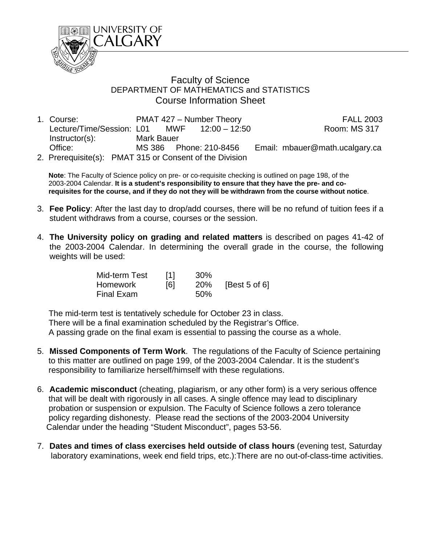

## Faculty of Science DEPARTMENT OF MATHEMATICS and STATISTICS Course Information Sheet

| 1. Course:                                              | PMAT 427 - Number Theory |  |                        | <b>FALL 2003</b>               |
|---------------------------------------------------------|--------------------------|--|------------------------|--------------------------------|
| Lecture/Time/Session: L01 MWF 12:00 - 12:50             |                          |  |                        | <b>Room: MS 317</b>            |
| $Instructor(s)$ :                                       | Mark Bauer               |  |                        |                                |
| Office:                                                 |                          |  | MS 386 Phone: 210-8456 | Email: mbauer@math.ucalgary.ca |
| 2. Prerequisite(s): PMAT 315 or Consent of the Division |                          |  |                        |                                |

 **Note**: The Faculty of Science policy on pre- or co-requisite checking is outlined on page 198, of the 2003-2004 Calendar. **It is a student's responsibility to ensure that they have the pre- and co requisites for the course, and if they do not they will be withdrawn from the course without notice**.

- 3. **Fee Policy**: After the last day to drop/add courses, there will be no refund of tuition fees if a student withdraws from a course, courses or the session.
- 4. **The University policy on grading and related matters** is described on pages 41-42 of the 2003-2004 Calendar. In determining the overall grade in the course, the following weights will be used:

| Mid-term Test | [1] | 30% |               |
|---------------|-----|-----|---------------|
| Homework      | [6] | 20% | [Best 5 of 6] |
| Final Exam    |     | 50% |               |

The mid-term test is tentatively schedule for October 23 in class.

 There will be a final examination scheduled by the Registrar's Office. A passing grade on the final exam is essential to passing the course as a whole.

- 5. **Missed Components of Term Work**. The regulations of the Faculty of Science pertaining to this matter are outlined on page 199, of the 2003-2004 Calendar. It is the student's responsibility to familiarize herself/himself with these regulations.
- 6. **Academic misconduct** (cheating, plagiarism, or any other form) is a very serious offence that will be dealt with rigorously in all cases. A single offence may lead to disciplinary probation or suspension or expulsion. The Faculty of Science follows a zero tolerance policy regarding dishonesty. Please read the sections of the 2003-2004 University Calendar under the heading "Student Misconduct", pages 53-56.
- 7. **Dates and times of class exercises held outside of class hours** (evening test, Saturday laboratory examinations, week end field trips, etc.):There are no out-of-class-time activities.